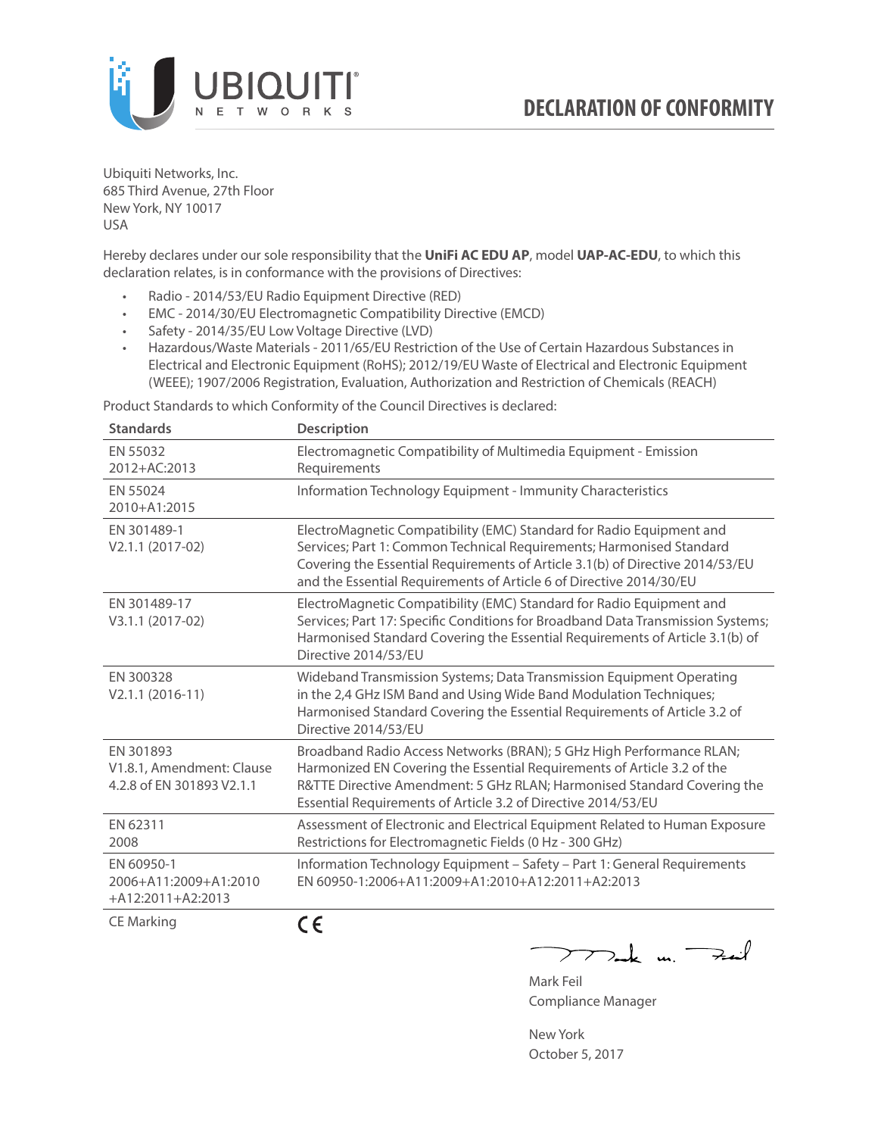

Ubiquiti Networks, Inc. 685 Third Avenue, 27th Floor New York, NY 10017 USA

Hereby declares under our sole responsibility that the **UniFi AC EDU AP**, model **UAP-AC-EDU**, to which this declaration relates, is in conformance with the provisions of Directives:

- Radio 2014/53/EU Radio Equipment Directive (RED)
- EMC 2014/30/EU Electromagnetic Compatibility Directive (EMCD)
- Safety 2014/35/EU Low Voltage Directive (LVD)
- Hazardous/Waste Materials 2011/65/EU Restriction of the Use of Certain Hazardous Substances in Electrical and Electronic Equipment (RoHS); 2012/19/EU Waste of Electrical and Electronic Equipment (WEEE); 1907/2006 Registration, Evaluation, Authorization and Restriction of Chemicals (REACH)

Product Standards to which Conformity of the Council Directives is declared:

| <b>Standards</b>                                                    | <b>Description</b>                                                                                                                                                                                                                                                                                   |
|---------------------------------------------------------------------|------------------------------------------------------------------------------------------------------------------------------------------------------------------------------------------------------------------------------------------------------------------------------------------------------|
| EN 55032<br>2012+AC:2013                                            | Electromagnetic Compatibility of Multimedia Equipment - Emission<br>Requirements                                                                                                                                                                                                                     |
| EN 55024<br>2010+A1:2015                                            | Information Technology Equipment - Immunity Characteristics                                                                                                                                                                                                                                          |
| EN 301489-1<br>V2.1.1 (2017-02)                                     | ElectroMagnetic Compatibility (EMC) Standard for Radio Equipment and<br>Services; Part 1: Common Technical Requirements; Harmonised Standard<br>Covering the Essential Requirements of Article 3.1(b) of Directive 2014/53/EU<br>and the Essential Requirements of Article 6 of Directive 2014/30/EU |
| EN 301489-17<br>V3.1.1 (2017-02)                                    | ElectroMagnetic Compatibility (EMC) Standard for Radio Equipment and<br>Services; Part 17: Specific Conditions for Broadband Data Transmission Systems;<br>Harmonised Standard Covering the Essential Requirements of Article 3.1(b) of<br>Directive 2014/53/EU                                      |
| EN 300328<br>$V2.1.1 (2016-11)$                                     | Wideband Transmission Systems; Data Transmission Equipment Operating<br>in the 2,4 GHz ISM Band and Using Wide Band Modulation Techniques;<br>Harmonised Standard Covering the Essential Requirements of Article 3.2 of<br>Directive 2014/53/EU                                                      |
| EN 301893<br>V1.8.1, Amendment: Clause<br>4.2.8 of EN 301893 V2.1.1 | Broadband Radio Access Networks (BRAN); 5 GHz High Performance RLAN;<br>Harmonized EN Covering the Essential Requirements of Article 3.2 of the<br>R&TTE Directive Amendment: 5 GHz RLAN; Harmonised Standard Covering the<br>Essential Requirements of Article 3.2 of Directive 2014/53/EU          |
| EN 62311<br>2008                                                    | Assessment of Electronic and Electrical Equipment Related to Human Exposure<br>Restrictions for Electromagnetic Fields (0 Hz - 300 GHz)                                                                                                                                                              |
| EN 60950-1<br>2006+A11:2009+A1:2010<br>+A12:2011+A2:2013            | Information Technology Equipment - Safety - Part 1: General Requirements<br>FN 60950-1:2006+A11:2009+A1:2010+A12:2011+A2:2013                                                                                                                                                                        |
| <b>CE Marking</b>                                                   | CE                                                                                                                                                                                                                                                                                                   |

 $\nabla$ ak un  $\rightarrow$ Mark Feil

Compliance Manager

New York October 5, 2017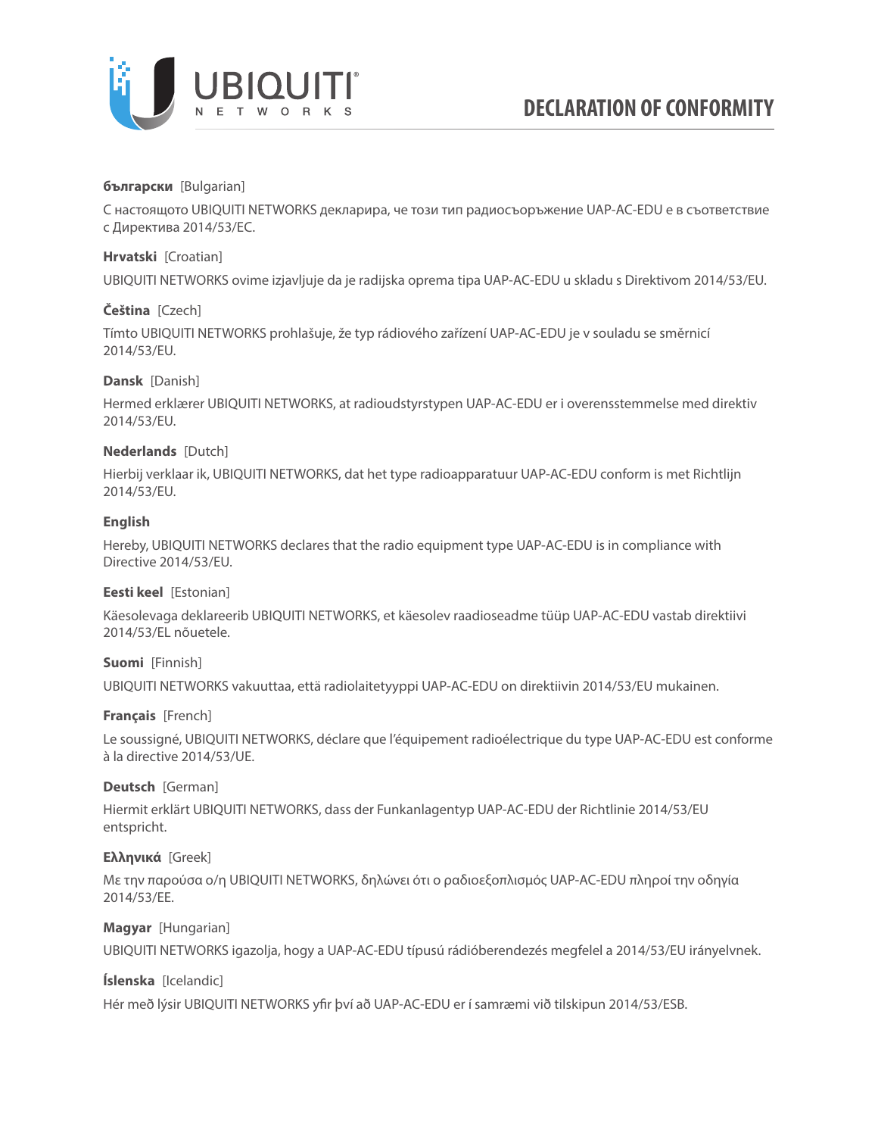

# **български** [Bulgarian]

С настоящото UBIQUITI NETWORKS декларира, че този тип радиосъоръжение UAP-AC-EDU е в съответствие с Директива 2014/53/ЕС.

# **Hrvatski** [Croatian]

UBIQUITI NETWORKS ovime izjavljuje da je radijska oprema tipa UAP-AC-EDU u skladu s Direktivom 2014/53/EU.

## **Čeština** [Czech]

Tímto UBIQUITI NETWORKS prohlašuje, že typ rádiového zařízení UAP-AC-EDU je v souladu se směrnicí 2014/53/EU.

## **Dansk** [Danish]

Hermed erklærer UBIQUITI NETWORKS, at radioudstyrstypen UAP-AC-EDU er i overensstemmelse med direktiv 2014/53/EU.

## **Nederlands** [Dutch]

Hierbij verklaar ik, UBIQUITI NETWORKS, dat het type radioapparatuur UAP-AC-EDU conform is met Richtlijn 2014/53/EU.

### **English**

Hereby, UBIQUITI NETWORKS declares that the radio equipment type UAP-AC-EDU is in compliance with Directive 2014/53/EU.

## **Eesti keel** [Estonian]

Käesolevaga deklareerib UBIQUITI NETWORKS, et käesolev raadioseadme tüüp UAP-AC-EDU vastab direktiivi 2014/53/EL nõuetele.

# **Suomi** [Finnish]

UBIQUITI NETWORKS vakuuttaa, että radiolaitetyyppi UAP-AC-EDU on direktiivin 2014/53/EU mukainen.

## **Français** [French]

Le soussigné, UBIQUITI NETWORKS, déclare que l'équipement radioélectrique du type UAP-AC-EDU est conforme à la directive 2014/53/UE.

## **Deutsch** [German]

Hiermit erklärt UBIQUITI NETWORKS, dass der Funkanlagentyp UAP-AC-EDU der Richtlinie 2014/53/EU entspricht.

## **Ελληνικά** [Greek]

Με την παρούσα ο/η UBIQUITI NETWORKS, δηλώνει ότι ο ραδιοεξοπλισμός UAP-AC-EDU πληροί την οδηγία 2014/53/ΕΕ.

## **Magyar** [Hungarian]

UBIQUITI NETWORKS igazolja, hogy a UAP-AC-EDU típusú rádióberendezés megfelel a 2014/53/EU irányelvnek.

## **Íslenska** [Icelandic]

Hér með lýsir UBIQUITI NETWORKS yfir því að UAP-AC-EDU er í samræmi við tilskipun 2014/53/ESB.